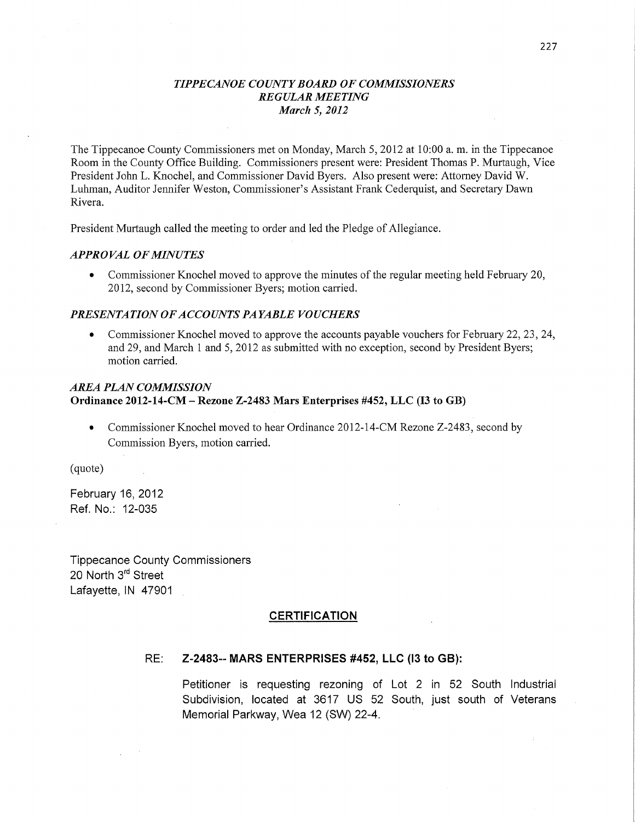### *TIPPE CANOE COUNTY BOARD* OF *COMMISSIONERS REGULAR MEETING March* 5, *2012*

The Tippecanoe County Commissioners met on Monday, March 5, 2012 at 10:00 a.m. in the Tippecanoe Room in the County Office Building. Commissioners present were: President Thomas P. Murtaugh, Vice President John L. Knochel, and Commissioner David Byers. Also present were: Attorney David W. Luhman, Auditor Jennifer Weston, Commissioner's Assistant Frank Cederquist, and Secretary Dawn Rivera.

President Murtaugh called the meeting to order and led the Pledge of Allegiance.

### *APPROVAL* OF *MINUTES*

**0** Commissioner Knochel moved to approve the minutes of the regular meeting held February 20, 2012, second by Commissioner Byers; motion carried.

### *PRESENTATION* OF *ACCO* UNT *S* PA *YABLE VOUCHERS*

**0** Commissioner Knochel moved to approve the accounts payable vouchers for February 22, 23, 24, and 29, and March 1 and 5, 2012 as submitted with no exception, second by President Byers; motion carried.

## *AREA PLAN COMMISSION*  **Ordinance 2012-14-CM** *-* **Rezone Z-2483 Mars Enterprises #452,** LLC (I3 to GB)

• Commissioner Knochel moved to hear Ordinance 2012-14-CM Rezone Z-2483, second by Commission Byers, motion carried.

(quote)

February 16, 2012 Ref. No.: 12-035

Tippecanoe County **Commissioners**  20 North 3<sup>rd</sup> Street Lafayette, IN 47901

#### **CERTIFICATION**

#### RE: **Z-2483--** MARS ENTERPRISES **#452,** LLC (l3 to GB):

Petitioner is requesting rezoning of Lot 2 in 52 South Industrial **Subdivision,** located at 3617 US 52 **South,** just south of Veterans Memorial Parkway, Wea 12 (SW) 22-4. *'*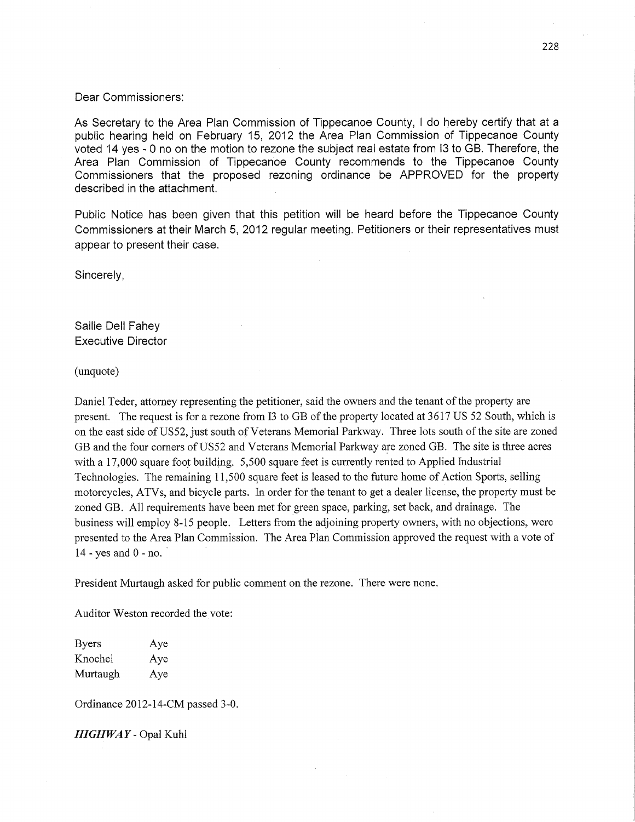#### Dear Commissioners:

As Secretary to the Area Plan **Commission** of Tippecanoe County, *I* do hereby **certify that** at <sup>a</sup> public hearing held on February 15, 2012 the Area Plan **Commission** of Tippecanoe County voted 14 yes *-* 0 no on the motion to rezone the **subject** real estate from l3 to GB. Therefore, the Area Plan **Commission** of Tippecanoe County recommends to the Tippecanoe County **Commissioners that** the proposed rezoning ordinance be APPROVED for the property described in the attachment.

Public Notice has been given **that this** petition will be heard before the Tippecanoe County **Commissioners** at **their** March 5, 2012 regular meeting. Petitioners or their representatives must appear to present **their** case.

Sincerely,

Sallie Dell Fahey Executive Director

(unquote)

Daniel Teder, attorney representing the petitioner, said the owners and the tenant of the property are present. The request is for a rezone from 13 to GB of the property located at 3617 US 52 South, which is on the east side of U852, just south of Veterans Memorial Parkway. Three lots south of the site are zoned GB and the four corners of U852 and Veterans Memorial Parkway are zoned GB. The site is three acres with a 17,000 square foot building. 5,500 square feet is currently rented to Applied Industrial Technologies. The remaining 11,500 square feet is leased to the future home of Action Sports, selling motorcycles, **ATVs,** and bicycle parts. In order for the tenant to get a dealer license, the property must be zoned GB. All requirements have been met for green space, parking, set back, and drainage. The business will employ 8— 15 people. Letters from the adjoining property owners, with no objections, were presented to the Area Plan Commission. The Area Plan Commission approved the request with a vote of  $14$  - yes and  $0$  - no.

President Murtaugh asked for public comment on the rezone. There were none.

Auditor Weston recorded the vote:

Byers Aye Knochel Aye Murtaugh Aye

Ordinance 2012—14-CM passed 3-0.

*HIGHWAY —* Opal Kuhl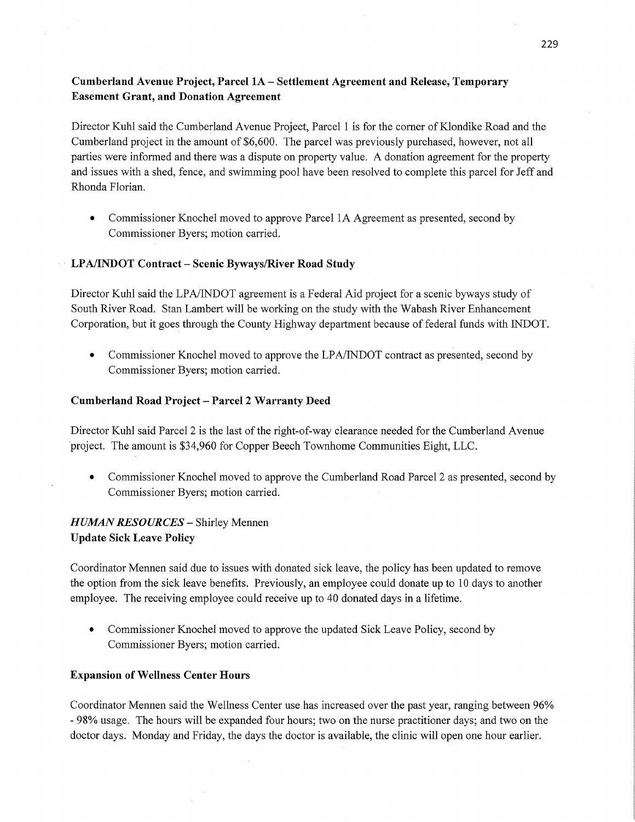# **Cumberland** Avenue **Project, Parcel** 1A — Settlement **Agreement** and **Release, Temporary Easement Grant,** and Donation Agreement

Director Kuhl said the Cumberland Avenue Project, Parcel 1 is for the corner of Klondike Road and the Cumberland project in the amount of \$6,600. The parcel was previously purchased, however, not all parties were informed and there was a dispute on property value. A donation agreement for the property and issues with a shed, fence, and swimming pool have been resolved to complete this parcel for Jeff and Rhonda Florian.

**0** Commissioner Knochel moved to approve Parcel 1A Agreement as presented, second by Commissioner Byers; motion carried.

## - **LPA/INDOT Contract — Scenic Byways/River Road Study**

Director Kuhl said the LPA/INDOT agreement is a Federal Aid project for a scenic byways study of South River Road. Stan Lambert will be working on the study with the Wabash River Enhancement Corporation, but it goes through the County Highway department because of federal funds with INDOT.

**0** Commissioner Knochel moved to approve the LPA/INDOT contract as presented, second by Commissioner Byers; motion carried.

### Cumberland **Road Project** — **Parcel 2 Warranty Deed**

Director Kuhl said Parcel 2 is the last of the right-of-way clearance needed for the Cumberland Avenue 'project. The amount is \$34,960 for Copper Beech Townhome Communities Eight, LLC.

• Commissioner Knochel moved to approve the Cumberland Road Parcel 2 as presented, second by Commissioner Byers; motion carried.

# *H UJMAN RESOURCES —* Shirley Mennen **Update Sick Leave Policy**

Coordinator Mennen said due to issues with donated sick leave, the policy has been updated to remove the option from the sick leave benefits. Previously, an employee could donate up to 10 days to another employee. The receiving employee could receive up to 40 donated days in a lifetime.

**0** Commissioner Knochel moved to approve the updated Sick Leave Policy, second by Commissioner Byers; motion carried.

### **Expansion** of Wellness **Center Hours**

Coordinator Mennen said the Wellness Center use has increased over the past year, ranging between 96% *-* 98% usage. The hours will be expanded four hours; two on the nurse practitioner days; and two on the doctor days. Monday and Friday, the days the doctor is available, the clinic will open one hour earlier.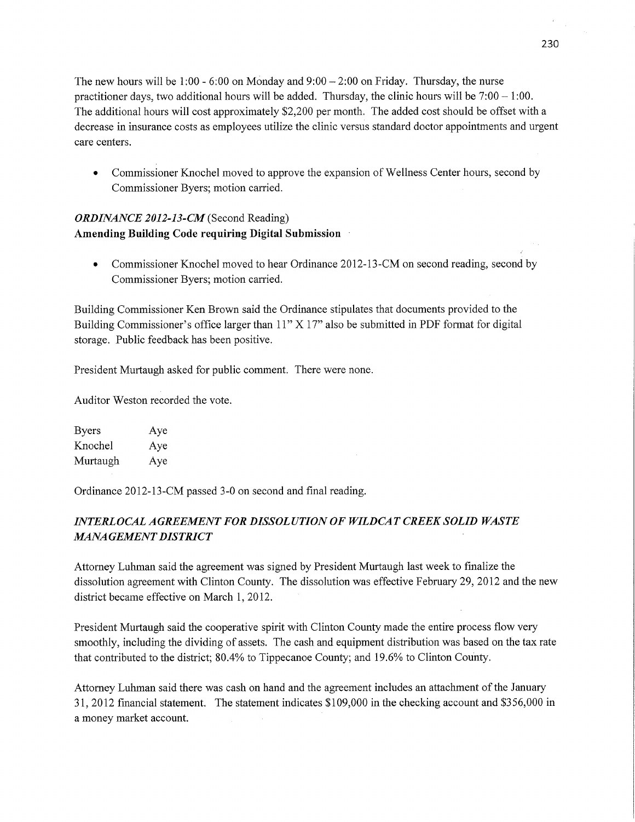The new hours will be 1:00 — 6:00 on MOnday and 9:00 *—* 2:00 on Friday. Thursday, the nurse practitioner days, two additional hours will be added. Thursday, the clinic hours will be  $7:00 - 1:00$ . The additional hours will cost approximately \$2,200 per month. The added cost should be offset with <sup>a</sup> decrease in insurance costs as employees utilize the clinic versus standard doctor appointments and urgen<sup>t</sup> care centers.

**0** Commissioner Knochel moved to approve the expansion of Wellness Center hours, second by Commissioner Byers; motion carried.

# *ORDINANCE 2012-13—CM* (Second Reading) **Amending Building Code requiring Digital** Submission '

• Commissioner Knochel moved to hear Ordinance 2012-13-CM on second reading, second by Commissioner Byers; motion carried.

Building Commissioner Ken Brown said the Ordinance stipulates that documents provided to the Building Commissioner's **office** larger than 11" X 17" also be submitted in PDF format for digital storage. Public feedback has been positive.

President Murtaugh asked for public comment. There were none.

Auditor Weston recorded the vote.

| Byers    | Aye |
|----------|-----|
| Knochel  | Aye |
| Murtaugh | Aye |

Ordinance 2012-13-CM passed 3—0 on second and final reading.

# *INTERLOCAL AGREEMENT* FOR *DISSOLUTION* 0F *WILDCAT CREEK SOLID WASTE M4NA GEMENT DISTRICT* '

Attorney Luhman said the agreement was signed by President Murtaugh last week to finalize the dissolution agreement with Clinton County. The dissolution was effective February 29, 2012 and the new district became effective on March 1, 2012.

President Murtaugh said the cooperative spirit with Clinton County made the entire process flow very smoothly, including the dividing of assets. The cash and equipment distribution was based on the tax rate that contributed to the district; 80.4% to Tippecanoe County; and 19.6% to Clinton County.

Attorney Luhman said there was cash on hand and the agreement includes an attachment of the January 31, 2012 financial statement. The statement indicates \$109,000 in the checking account and \$356,000 in **a** money market account. '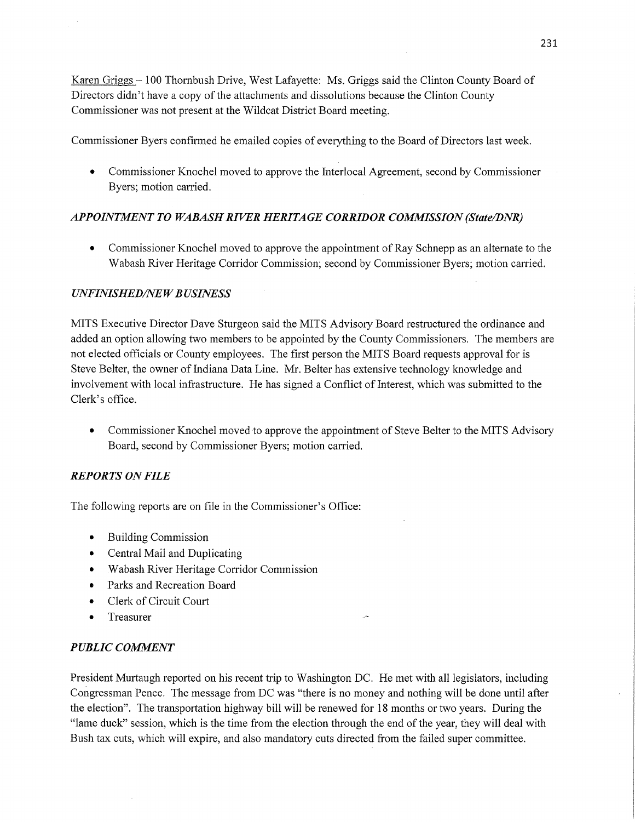Karen Griggs *—* 100 Thombush Drive, West Lafayette: Ms. Griggs said the Clinton County Board of Directors didn't have a copy of the attachments and dissolutions because the Clinton County Commissioner was not present at the Wildcat District Board meeting.

Commissioner Byers confirmed he emailed copies of everything to the Board of Directors last week.

**0** Commissioner Knochel moved to approve the Interlocal Agreement, second by Commissioner Byers; motion carried.

# *APPOINTMENT* T0 *WABASH RIVER HERITAGE CORRIDOR COMMISSION (State/DNR)*

**0** Commissioner Knochel moved to approve the appointment of Ray Schnepp as an alternate to the Wabash River Heritage Corridor Commission; second by Commissioner Byers; motion carried.

## *UNFINISHED/NEW BUSINESS*

MITS Executive Director Dave Sturgeon said the **MITS** Advisory Board restructured the ordinance and added an option allowing two members to be appointed by the County Commissioners. The members are not elected officials or County employees. The first person the MITS Board requests approval for is Steve Belter, the owner of Indiana Data Line. Mr. Belter has extensive technology knowledge and involvement with local infrastructure. He has signed a Conflict of Interest, which was submitted to the Clerk's office.

• Commissioner Knochel moved to approve the appointment of Steve Belter to the MITS Advisory Board, second by Commissioner Byers; motion carried.

## *REPORTS* ON *FILE*

The following reports are on file in the Commissioner's Office:

- **0** Building Commission
- **0** Central Mail and Duplicating
- **0** Wabash River Heritage Corridor Commission
- **0** Parks and Recreation Board
- **0** Clerk of Circuit Court
- **0** Treasurer *<sup>w</sup>*

## *PUBLIC COMMENT*

President Murtaugh reported on his recent trip to Washington DC. He met with all legislators, including Cohgressman Pence. The message from DC was "there is no money and nothing will be done until after the election". The transportation highway bill will be renewed for 18 months or two years. During the "lame duck" session, which is the time from the election through the end of the year, they will deal with Bush tax cuts, which will expire, and also mandatory cuts directed from the failed super committee.